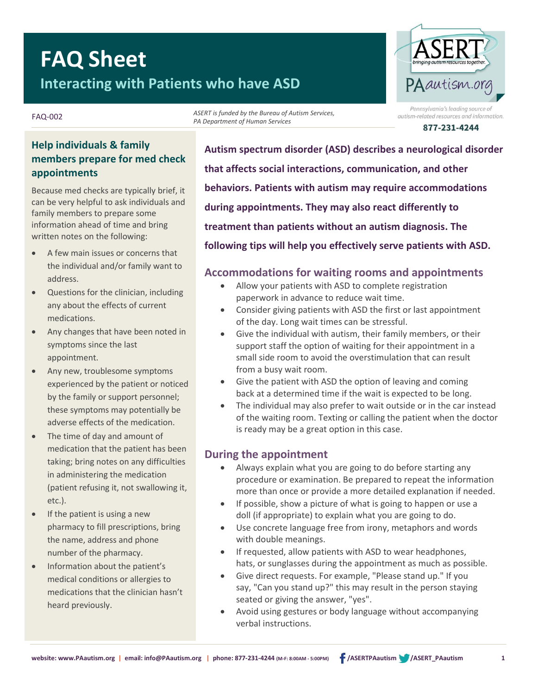# **FAQ Sheet Interacting with Patients who have ASD**

# PAantism.org ennsylvania's leadina source of

autism-related resources and information.

877-231-4244

### **Help individuals & family members prepare for med check appointments**

FAQ-002

Because med checks are typically brief, it can be very helpful to ask individuals and family members to prepare some information ahead of time and bring written notes on the following:

- A few main issues or concerns that the individual and/or family want to address.
- Questions for the clinician, including any about the effects of current medications.
- Any changes that have been noted in symptoms since the last appointment.
- Any new, troublesome symptoms experienced by the patient or noticed by the family or support personnel; these symptoms may potentially be adverse effects of the medication.
- The time of day and amount of medication that the patient has been taking; bring notes on any difficulties in administering the medication (patient refusing it, not swallowing it, etc.).
- If the patient is using a new pharmacy to fill prescriptions, bring the name, address and phone number of the pharmacy.
- Information about the patient's medical conditions or allergies to medications that the clinician hasn't heard previously.

**Autism spectrum disorder (ASD) describes a neurological disorder that affects social interactions, communication, and other behaviors. Patients with autism may require accommodations during appointments. They may also react differently to treatment than patients without an autism diagnosis. The following tips will help you effectively serve patients with ASD.**

# **Accommodations for waiting rooms and appointments**

- Allow your patients with ASD to complete registration paperwork in advance to reduce wait time.
- Consider giving patients with ASD the first or last appointment of the day. Long wait times can be stressful.
- Give the individual with autism, their family members, or their support staff the option of waiting for their appointment in a small side room to avoid the overstimulation that can result from a busy wait room.
- Give the patient with ASD the option of leaving and coming back at a determined time if the wait is expected to be long.
- The individual may also prefer to wait outside or in the car instead of the waiting room. Texting or calling the patient when the doctor is ready may be a great option in this case.

## **During the appointment**

*ASERT is funded by the Bureau of Autism Services,*

*PA Department of Human Services*

- Always explain what you are going to do before starting any procedure or examination. Be prepared to repeat the information more than once or provide a more detailed explanation if needed.
- If possible, show a picture of what is going to happen or use a doll (if appropriate) to explain what you are going to do.
- Use concrete language free from irony, metaphors and words with double meanings.
- If requested, allow patients with ASD to wear headphones, hats, or sunglasses during the appointment as much as possible.
- Give direct requests. For example, "Please stand up." If you say, "Can you stand up?" this may result in the person staying seated or giving the answer, "yes".
- Avoid using gestures or body language without accompanying verbal instructions.